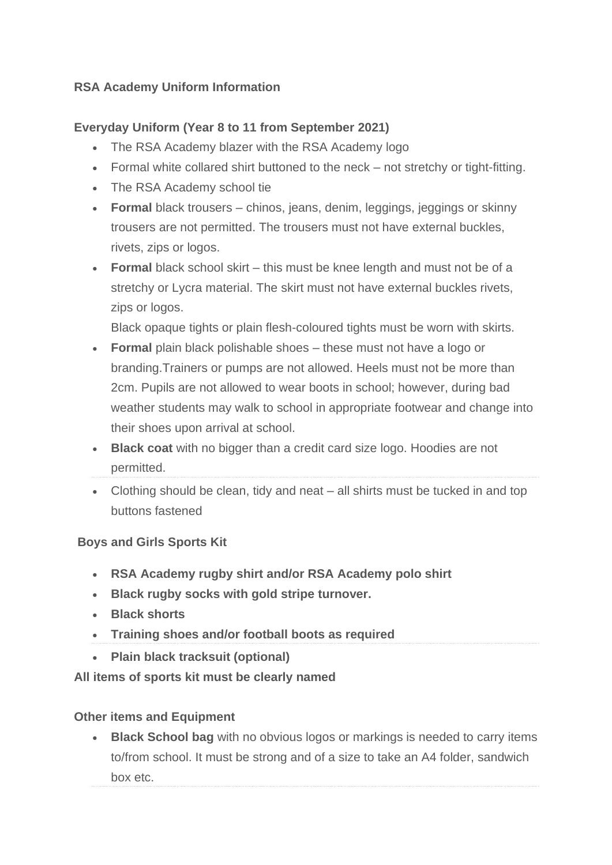## **RSA Academy Uniform Information**

## **Everyday Uniform (Year 8 to 11 from September 2021)**

- The RSA Academy blazer with the RSA Academy logo
- Formal white collared shirt buttoned to the neck not stretchy or tight-fitting.
- The RSA Academy school tie
- **Formal** black trousers chinos, jeans, denim, leggings, jeggings or skinny trousers are not permitted. The trousers must not have external buckles, rivets, zips or logos.
- **Formal** black school skirt this must be knee length and must not be of a stretchy or Lycra material. The skirt must not have external buckles rivets, zips or logos.

Black opaque tights or plain flesh-coloured tights must be worn with skirts.

- **Formal** plain black polishable shoes these must not have a logo or branding.Trainers or pumps are not allowed. Heels must not be more than 2cm. Pupils are not allowed to wear boots in school; however, during bad weather students may walk to school in appropriate footwear and change into their shoes upon arrival at school.
- **Black coat** with no bigger than a credit card size logo. Hoodies are not permitted.
- Clothing should be clean, tidy and neat all shirts must be tucked in and top buttons fastened

## **Boys and Girls Sports Kit**

- **RSA Academy rugby shirt and/or RSA Academy polo shirt**
- **Black rugby socks with gold stripe turnover.**
- **Black shorts**
- **Training shoes and/or football boots as required**
- **Plain black tracksuit (optional)**

#### **All items of sports kit must be clearly named**

#### **Other items and Equipment**

• **Black School bag** with no obvious logos or markings is needed to carry items to/from school. It must be strong and of a size to take an A4 folder, sandwich box etc.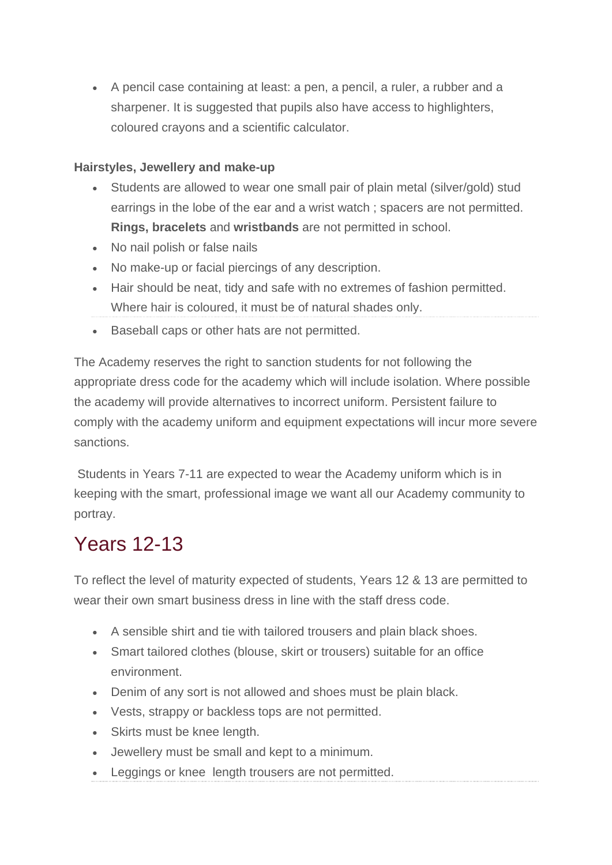• A pencil case containing at least: a pen, a pencil, a ruler, a rubber and a sharpener. It is suggested that pupils also have access to highlighters, coloured crayons and a scientific calculator.

### **Hairstyles, Jewellery and make-up**

- Students are allowed to wear one small pair of plain metal (silver/gold) stud earrings in the lobe of the ear and a wrist watch ; spacers are not permitted. **Rings, bracelets** and **wristbands** are not permitted in school.
- No nail polish or false nails
- No make-up or facial piercings of any description.
- Hair should be neat, tidy and safe with no extremes of fashion permitted. Where hair is coloured, it must be of natural shades only.
- Baseball caps or other hats are not permitted.

The Academy reserves the right to sanction students for not following the appropriate dress code for the academy which will include isolation. Where possible the academy will provide alternatives to incorrect uniform. Persistent failure to comply with the academy uniform and equipment expectations will incur more severe sanctions.

Students in Years 7-11 are expected to wear the Academy uniform which is in keeping with the smart, professional image we want all our Academy community to portray.

# Years 12-13

To reflect the level of maturity expected of students, Years 12 & 13 are permitted to wear their own smart business dress in line with the staff dress code.

- A sensible shirt and tie with tailored trousers and plain black shoes.
- Smart tailored clothes (blouse, skirt or trousers) suitable for an office environment.
- Denim of any sort is not allowed and shoes must be plain black.
- Vests, strappy or backless tops are not permitted.
- Skirts must be knee length.
- Jewellery must be small and kept to a minimum.
- Leggings or knee length trousers are not permitted.